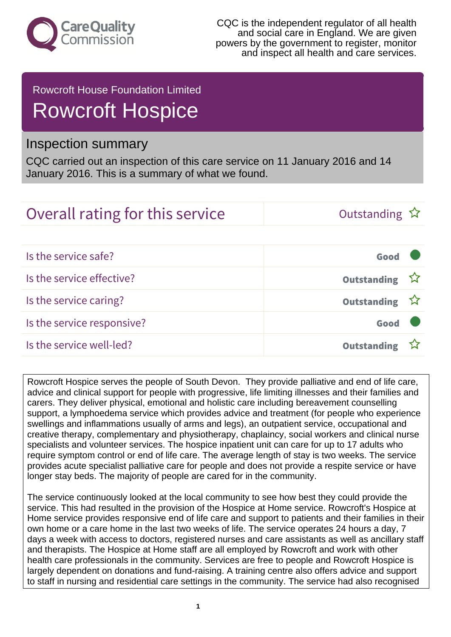

## Rowcroft House Foundation Limited Rowcroft Hospice

## Inspection summary

CQC carried out an inspection of this care service on 11 January 2016 and 14 January 2016. This is a summary of what we found.

## Overall rating for this service  $\Box$  Outstanding  $\hat{x}$

| Is the service safe?       | Good               |  |
|----------------------------|--------------------|--|
| Is the service effective?  | Outstanding ☆      |  |
| Is the service caring?     | Outstanding ☆      |  |
| Is the service responsive? | Good               |  |
| Is the service well-led?   | <b>Outstanding</b> |  |

Rowcroft Hospice serves the people of South Devon. They provide palliative and end of life care, advice and clinical support for people with progressive, life limiting illnesses and their families and carers. They deliver physical, emotional and holistic care including bereavement counselling support, a lymphoedema service which provides advice and treatment (for people who experience swellings and inflammations usually of arms and legs), an outpatient service, occupational and creative therapy, complementary and physiotherapy, chaplaincy, social workers and clinical nurse specialists and volunteer services. The hospice inpatient unit can care for up to 17 adults who require symptom control or end of life care. The average length of stay is two weeks. The service provides acute specialist palliative care for people and does not provide a respite service or have longer stay beds. The majority of people are cared for in the community.

The service continuously looked at the local community to see how best they could provide the service. This had resulted in the provision of the Hospice at Home service. Rowcroft's Hospice at Home service provides responsive end of life care and support to patients and their families in their own home or a care home in the last two weeks of life. The service operates 24 hours a day, 7 days a week with access to doctors, registered nurses and care assistants as well as ancillary staff and therapists. The Hospice at Home staff are all employed by Rowcroft and work with other health care professionals in the community. Services are free to people and Rowcroft Hospice is largely dependent on donations and fund-raising. A training centre also offers advice and support to staff in nursing and residential care settings in the community. The service had also recognised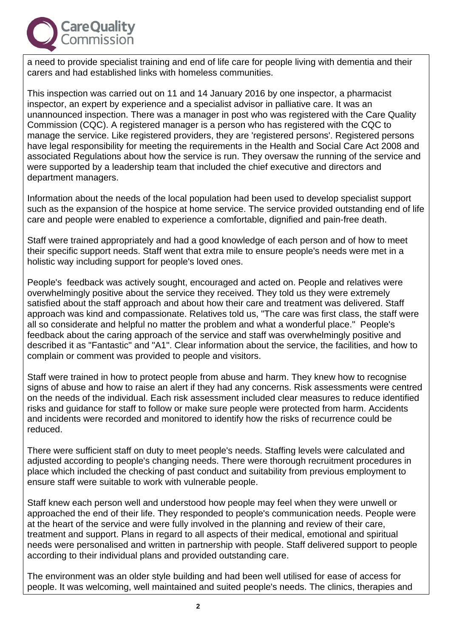

a need to provide specialist training and end of life care for people living with dementia and their carers and had established links with homeless communities.

This inspection was carried out on 11 and 14 January 2016 by one inspector, a pharmacist inspector, an expert by experience and a specialist advisor in palliative care. It was an unannounced inspection. There was a manager in post who was registered with the Care Quality Commission (CQC). A registered manager is a person who has registered with the CQC to manage the service. Like registered providers, they are 'registered persons'. Registered persons have legal responsibility for meeting the requirements in the Health and Social Care Act 2008 and associated Regulations about how the service is run. They oversaw the running of the service and were supported by a leadership team that included the chief executive and directors and department managers.

Information about the needs of the local population had been used to develop specialist support such as the expansion of the hospice at home service. The service provided outstanding end of life care and people were enabled to experience a comfortable, dignified and pain-free death.

Staff were trained appropriately and had a good knowledge of each person and of how to meet their specific support needs. Staff went that extra mile to ensure people's needs were met in a holistic way including support for people's loved ones.

People's feedback was actively sought, encouraged and acted on. People and relatives were overwhelmingly positive about the service they received. They told us they were extremely satisfied about the staff approach and about how their care and treatment was delivered. Staff approach was kind and compassionate. Relatives told us, "The care was first class, the staff were all so considerate and helpful no matter the problem and what a wonderful place." People's feedback about the caring approach of the service and staff was overwhelmingly positive and described it as "Fantastic" and "A1". Clear information about the service, the facilities, and how to complain or comment was provided to people and visitors.

Staff were trained in how to protect people from abuse and harm. They knew how to recognise signs of abuse and how to raise an alert if they had any concerns. Risk assessments were centred on the needs of the individual. Each risk assessment included clear measures to reduce identified risks and guidance for staff to follow or make sure people were protected from harm. Accidents and incidents were recorded and monitored to identify how the risks of recurrence could be reduced.

There were sufficient staff on duty to meet people's needs. Staffing levels were calculated and adjusted according to people's changing needs. There were thorough recruitment procedures in place which included the checking of past conduct and suitability from previous employment to ensure staff were suitable to work with vulnerable people.

Staff knew each person well and understood how people may feel when they were unwell or approached the end of their life. They responded to people's communication needs. People were at the heart of the service and were fully involved in the planning and review of their care, treatment and support. Plans in regard to all aspects of their medical, emotional and spiritual needs were personalised and written in partnership with people. Staff delivered support to people according to their individual plans and provided outstanding care.

The environment was an older style building and had been well utilised for ease of access for people. It was welcoming, well maintained and suited people's needs. The clinics, therapies and